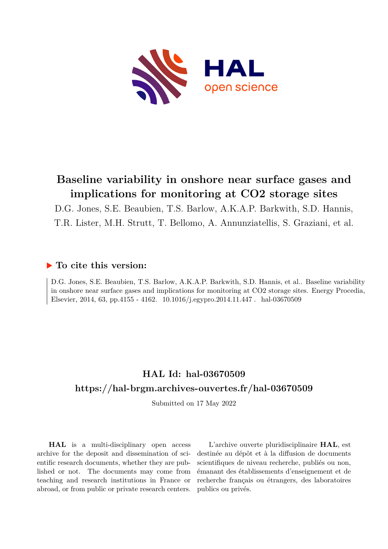

# **Baseline variability in onshore near surface gases and implications for monitoring at CO2 storage sites**

D.G. Jones, S.E. Beaubien, T.S. Barlow, A.K.A.P. Barkwith, S.D. Hannis,

T.R. Lister, M.H. Strutt, T. Bellomo, A. Annunziatellis, S. Graziani, et al.

# **To cite this version:**

D.G. Jones, S.E. Beaubien, T.S. Barlow, A.K.A.P. Barkwith, S.D. Hannis, et al.. Baseline variability in onshore near surface gases and implications for monitoring at CO2 storage sites. Energy Procedia, Elsevier, 2014, 63, pp.4155 - 4162. 10.1016/j.egypro.2014.11.447 hal-03670509

# **HAL Id: hal-03670509 <https://hal-brgm.archives-ouvertes.fr/hal-03670509>**

Submitted on 17 May 2022

**HAL** is a multi-disciplinary open access archive for the deposit and dissemination of scientific research documents, whether they are published or not. The documents may come from teaching and research institutions in France or abroad, or from public or private research centers.

L'archive ouverte pluridisciplinaire **HAL**, est destinée au dépôt et à la diffusion de documents scientifiques de niveau recherche, publiés ou non, émanant des établissements d'enseignement et de recherche français ou étrangers, des laboratoires publics ou privés.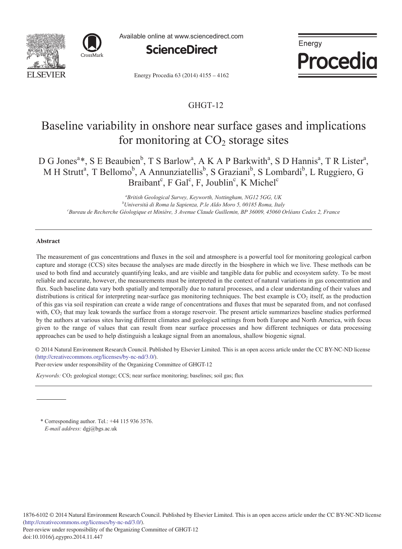



Available online at www.sciencedirect.com



Energy Procedia

Energy Procedia 63 (2014) 4155 - 4162

# GHGT-12

# Baseline variability in onshore near surface gases and implications for monitoring at  $CO<sub>2</sub>$  storage sites

D G Jones<sup>a</sup>\*, S E Beaubien<sup>b</sup>, T S Barlow<sup>a</sup>, A K A P Barkwith<sup>a</sup>, S D Hannis<sup>a</sup>, T R Lister<sup>a</sup>, M H Strutt<sup>a</sup>, T Bellomo<sup>b</sup>, A Annunziatellis<sup>b</sup>, S Graziani<sup>b</sup>, S Lombardi<sup>b</sup>, L Ruggiero, G Braibant<sup>c</sup>, F Gal<sup>c</sup>, F, Joublin<sup>c</sup>, K Michel<sup>c</sup>

<sup>a</sup> British Geological Survey, Keyworth, Nottingham, NG12 5GG, UK<br><sup>b</sup>Università di Boma la Sanjonza, B lo Aldo Moro 5, 00185 Boma, Ital *Università di Roma la Sapienza, P.le Aldo Moro 5, 00185 Roma, Italy c Bureau de Recherche Géologique et Minière, 3 Avenue Claude Guillemin, BP 36009, 45060 Orléans Cedex 2, France* 

## **Abstract**

The measurement of gas concentrations and fluxes in the soil and atmosphere is a powerful tool for monitoring geological carbon capture and storage (CCS) sites because the analyses are made directly in the biosphere in which we live. These methods can be used to both find and accurately quantifying leaks, and are visible and tangible data for public and ecosystem safety. To be most reliable and accurate, however, the measurements must be interpreted in the context of natural variations in gas concentration and flux. Such baseline data vary both spatially and temporally due to natural processes, and a clear understanding of their values and distributions is critical for interpreting near-surface gas monitoring techniques. The best example is  $CO<sub>2</sub>$  itself, as the production of this gas via soil respiration can create a wide range of concentrations and fluxes that must be separated from, and not confused with,  $CO<sub>2</sub>$  that may leak towards the surface from a storage reservoir. The present article summarizes baseline studies performed by the authors at various sites having different climates and geological settings from both Europe and North America, with focus given to the range of values that can result from near surface processes and how different techniques or data processing approaches can be used to help distinguish a leakage signal from an anomalous, shallow biogenic signal.

© 2014 Natural Environment Research Council. Published by Elsevier Limited. This is an open access article under the CC BY-NC-ND license (http://creativecommons.org/licenses/by-nc-nd/3.0/).

(imp.//cream/ecommons.org/icenses/by-nc-nd/5.0/).<br>Peer-review under responsibility of the Organizing Committee of GHGT-12

*Keywords:* CO<sub>2</sub> geological storage; CCS; near surface monitoring; baselines; soil gas; flux

\* Corresponding author. Tel.: +44 115 936 3576. *E-mail address:* dgj@bgs.ac.uk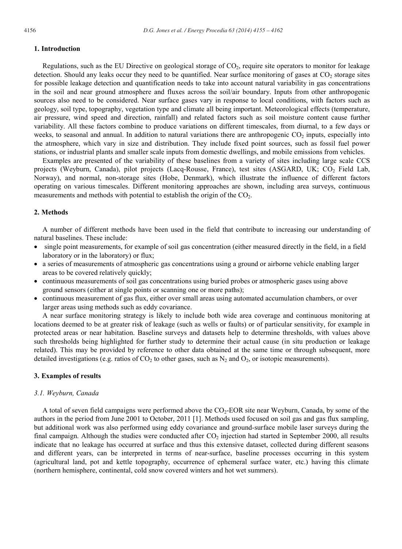# **1. Introduction**

Regulations, such as the EU Directive on geological storage of  $CO<sub>2</sub>$ , require site operators to monitor for leakage detection. Should any leaks occur they need to be quantified. Near surface monitoring of gases at  $CO<sub>2</sub>$  storage sites for possible leakage detection and quantification needs to take into account natural variability in gas concentrations in the soil and near ground atmosphere and fluxes across the soil/air boundary. Inputs from other anthropogenic sources also need to be considered. Near surface gases vary in response to local conditions, with factors such as geology, soil type, topography, vegetation type and climate all being important. Meteorological effects (temperature, air pressure, wind speed and direction, rainfall) and related factors such as soil moisture content cause further variability. All these factors combine to produce variations on different timescales, from diurnal, to a few days or weeks, to seasonal and annual. In addition to natural variations there are anthropogenic  $CO<sub>2</sub>$  inputs, especially into the atmosphere, which vary in size and distribution. They include fixed point sources, such as fossil fuel power stations, or industrial plants and smaller scale inputs from domestic dwellings, and mobile emissions from vehicles.

Examples are presented of the variability of these baselines from a variety of sites including large scale CCS projects (Weyburn, Canada), pilot projects (Lacq-Rousse, France), test sites (ASGARD, UK; CO<sub>2</sub> Field Lab, Norway), and normal, non-storage sites (Hobe, Denmark), which illustrate the influence of different factors operating on various timescales. Different monitoring approaches are shown, including area surveys, continuous measurements and methods with potential to establish the origin of the  $CO<sub>2</sub>$ .

### **2. Methods**

A number of different methods have been used in the field that contribute to increasing our understanding of natural baselines. These include:

- single point measurements, for example of soil gas concentration (either measured directly in the field, in a field laboratory or in the laboratory) or flux;
- a series of measurements of atmospheric gas concentrations using a ground or airborne vehicle enabling larger areas to be covered relatively quickly;
- continuous measurements of soil gas concentrations using buried probes or atmospheric gases using above ground sensors (either at single points or scanning one or more paths);
- continuous measurement of gas flux, either over small areas using automated accumulation chambers, or over larger areas using methods such as eddy covariance.

A near surface monitoring strategy is likely to include both wide area coverage and continuous monitoring at locations deemed to be at greater risk of leakage (such as wells or faults) or of particular sensitivity, for example in protected areas or near habitation. Baseline surveys and datasets help to determine thresholds, with values above such thresholds being highlighted for further study to determine their actual cause (in situ production or leakage related). This may be provided by reference to other data obtained at the same time or through subsequent, more detailed investigations (e.g. ratios of  $CO<sub>2</sub>$  to other gases, such as N<sub>2</sub> and  $O<sub>2</sub>$ , or isotopic measurements).

# **3. Examples of results**

#### *3.1. Weyburn, Canada*

A total of seven field campaigns were performed above the CO<sub>2</sub>-EOR site near Weyburn, Canada, by some of the authors in the period from June 2001 to October, 2011 [1]. Methods used focused on soil gas and gas flux sampling, but additional work was also performed using eddy covariance and ground-surface mobile laser surveys during the final campaign. Although the studies were conducted after  $CO<sub>2</sub>$  injection had started in September 2000, all results indicate that no leakage has occurred at surface and thus this extensive dataset, collected during different seasons and different years, can be interpreted in terms of near-surface, baseline processes occurring in this system (agricultural land, pot and kettle topography, occurrence of ephemeral surface water, etc.) having this climate (northern hemisphere, continental, cold snow covered winters and hot wet summers).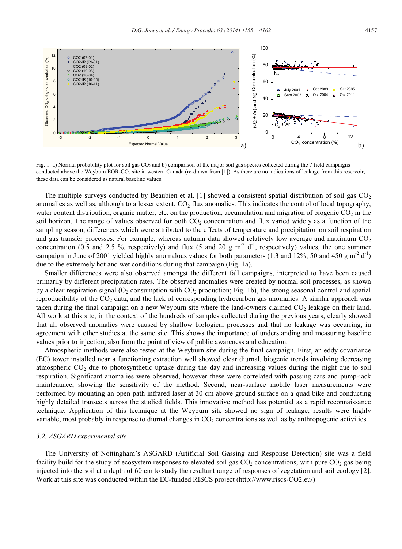

Fig. 1. a) Normal probability plot for soil gas CO<sub>2</sub> and b) comparison of the major soil gas species collected during the 7 field campaigns conducted above the Weyburn EOR-CO<sub>2</sub> site in western Canada (re-drawn from [1]). As there are no indications of leakage from this reservoir, these data can be considered as natural baseline values.

The multiple surveys conducted by Beaubien et al. [1] showed a consistent spatial distribution of soil gas  $CO<sub>2</sub>$ anomalies as well as, although to a lesser extent,  $CO<sub>2</sub>$  flux anomalies. This indicates the control of local topography, water content distribution, organic matter, etc. on the production, accumulation and migration of biogenic  $CO<sub>2</sub>$  in the soil horizon. The range of values observed for both  $CO<sub>2</sub>$  concentration and flux varied widely as a function of the sampling season, differences which were attributed to the effects of temperature and precipitation on soil respiration and gas transfer processes. For example, whereas autumn data showed relatively low average and maximum  $CO<sub>2</sub>$ concentration (0.5 and 2.5 %, respectively) and flux (5 and 20 g  $m<sup>2</sup> d<sup>-1</sup>$ , respectively) values, the one summer campaign in June of 2001 yielded highly anomalous values for both parameters (1.3 and 12%; 50 and 450 g  $\text{m}^2$  d<sup>-1</sup>) due to the extremely hot and wet conditions during that campaign (Fig. 1a).

Smaller differences were also observed amongst the different fall campaigns, interpreted to have been caused primarily by different precipitation rates. The observed anomalies were created by normal soil processes, as shown by a clear respiration signal ( $O_2$  consumption with  $CO_2$  production; Fig. 1b), the strong seasonal control and spatial reproducibility of the  $CO<sub>2</sub>$  data, and the lack of corresponding hydrocarbon gas anomalies. A similar approach was taken during the final campaign on a new Weyburn site where the land-owners claimed  $CO<sub>2</sub>$  leakage on their land. All work at this site, in the context of the hundreds of samples collected during the previous years, clearly showed that all observed anomalies were caused by shallow biological processes and that no leakage was occurring, in agreement with other studies at the same site. This shows the importance of understanding and measuring baseline values prior to injection, also from the point of view of public awareness and education.

Atmospheric methods were also tested at the Weyburn site during the final campaign. First, an eddy covariance (EC) tower installed near a functioning extraction well showed clear diurnal, biogenic trends involving decreasing atmospheric  $CO<sub>2</sub>$  due to photosynthetic uptake during the day and increasing values during the night due to soil respiration. Significant anomalies were observed, however these were correlated with passing cars and pump-jack maintenance, showing the sensitivity of the method. Second, near-surface mobile laser measurements were performed by mounting an open path infrared laser at 30 cm above ground surface on a quad bike and conducting highly detailed transects across the studied fields. This innovative method has potential as a rapid reconnaissance technique. Application of this technique at the Weyburn site showed no sign of leakage; results were highly variable, most probably in response to diurnal changes in  $CO<sub>2</sub>$  concentrations as well as by anthropogenic activities.

#### *3.2. ASGARD experimental site*

The University of Nottingham's ASGARD (Artificial Soil Gassing and Response Detection) site was a field facility build for the study of ecosystem responses to elevated soil gas  $CO_2$  concentrations, with pure  $CO_2$  gas being injected into the soil at a depth of 60 cm to study the resultant range of responses of vegetation and soil ecology [2]. Work at this site was conducted within the EC-funded RISCS project (http://www.riscs-CO2.eu/)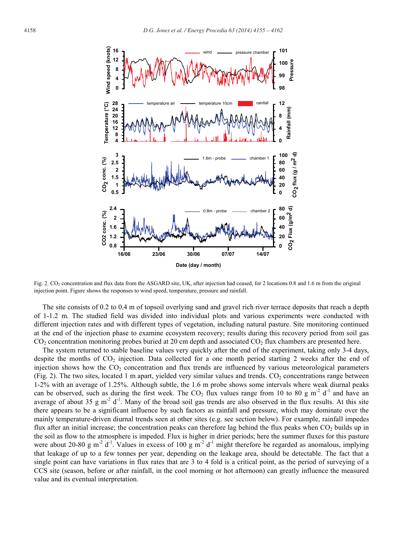

Fig. 2. CO<sub>2</sub> concentration and flux data from the ASGARD site, UK, after injection had ceased, for 2 locations 0.8 and 1.6 m from the original injection point. Figure shows the responses to wind speed, temperature, pressure and rainfall.

The site consists of 0.2 to 0.4 m of topsoil overlying sand and gravel rich river terrace deposits that reach a depth of 1-1.2 m. The studied field was divided into individual plots and various experiments were conducted with different injection rates and with different types of vegetation, including natural pasture. Site monitoring continued at the end of the injection phase to examine ecosystem recovery; results during this recovery period from soil gas  $CO<sub>2</sub>$  concentration monitoring probes buried at 20 cm depth and associated  $CO<sub>2</sub>$  flux chambers are presented here.

The system returned to stable baseline values very quickly after the end of the experiment, taking only 3-4 days, despite the months of  $CO<sub>2</sub>$  injection. Data collected for a one month period starting 2 weeks after the end of injection shows how the  $CO<sub>2</sub>$  concentration and flux trends are influenced by various meteorological parameters (Fig. 2). The two sites, located 1 m apart, yielded very similar values and trends.  $CO<sub>2</sub>$  concentrations range between 1-2% with an average of 1.25%. Although subtle, the 1.6 m probe shows some intervals where weak diurnal peaks can be observed, such as during the first week. The  $CO_2$  flux values range from 10 to 80 g m<sup>-2</sup> d<sup>-1</sup> and have an average of about 35 g  $\text{m}^2$  d<sup>-1</sup>. Many of the broad soil gas trends are also observed in the flux results. At this site there appears to be a significant influence by such factors as rainfall and pressure, which may dominate over the mainly temperature-driven diurnal trends seen at other sites (e.g. see section below). For example, rainfall impedes flux after an initial increase; the concentration peaks can therefore lag behind the flux peaks when CO<sub>2</sub> builds up in the soil as flow to the atmosphere is impeded. Flux is higher in drier periods; here the summer fluxes for this pasture were about 20-80 g m<sup>-2</sup> d<sup>-1</sup>. Values in excess of 100 g m<sup>-2</sup> d<sup>-1</sup> might therefore be regarded as anomalous, implying that leakage of up to a few tonnes per year, depending on the leakage area, should be detectable. The fact that a single point can have variations in flux rates that are 3 to 4 fold is a critical point, as the period of surveying of a CCS site (season, before or after rainfall, in the cool morning or hot afternoon) can greatly influence the measured value and its eventual interpretation.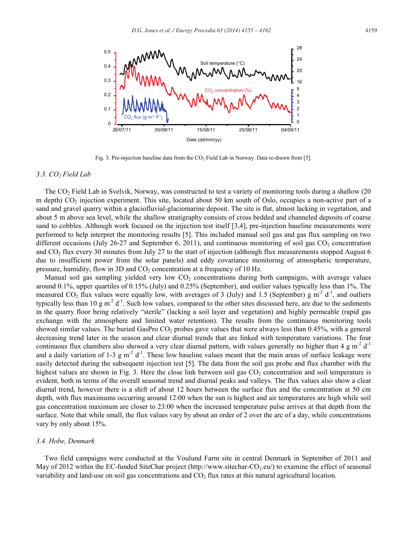

Fig. 3. Pre-injection baseline data from the CO<sub>2</sub> Field Lab in Norway. Data re-drawn from [5].

### *3.3. CO2 Field Lab*

The CO<sub>2</sub> Field Lab in Svelvik, Norway, was constructed to test a variety of monitoring tools during a shallow (20 m depth)  $CO<sub>2</sub>$  injection experiment. This site, located about 50 km south of Oslo, occupies a non-active part of a sand and gravel quarry within a glaciofluvial-glaciomarine deposit. The site is flat, almost lacking in vegetation, and about 5 m above sea level, while the shallow stratigraphy consists of cross bedded and channeled deposits of coarse sand to cobbles. Although work focused on the injection test itself [3,4], pre-injection baseline measurements were performed to help interpret the monitoring results [5]. This included manual soil gas and gas flux sampling on two different occasions (July 26-27 and September 6, 2011), and continuous monitoring of soil gas  $CO<sub>2</sub>$  concentration and CO<sub>2</sub> flux every 30 minutes from July 27 to the start of injection (although flux measurements stopped August 6 due to insufficient power from the solar panels) and eddy covariance monitoring of atmospheric temperature, pressure, humidity, flow in 3D and  $CO<sub>2</sub>$  concentration at a frequency of 10 Hz.

Manual soil gas sampling yielded very low  $CO<sub>2</sub>$  concentrations during both campaigns, with average values around 0.1%, upper quartiles of 0.15% (July) and 0.25% (September), and outlier values typically less than 1%. The measured  $CO_2$  flux values were equally low, with averages of 3 (July) and 1.5 (September) g m<sup>-2</sup> d<sup>-1</sup>, and outliers typically less than 10 g m<sup>-2</sup> d<sup>-1</sup>. Such low values, compared to the other sites discussed here, are due to the sediments in the quarry floor being relatively "sterile" (lacking a soil layer and vegetation) and highly permeable (rapid gas exchange with the atmosphere and limited water retention). The results from the continuous monitoring tools showed similar values. The buried GasPro  $CO<sub>2</sub>$  probes gave values that were always less than 0.45%, with a general decreasing trend later in the season and clear diurnal trends that are linked with temperature variations. The four continuous flux chambers also showed a very clear diurnal pattern, with values generally no higher than 4 g m<sup>-2</sup> d<sup>-1</sup> and a daily variation of 1-3 g m<sup>-2</sup> d<sup>-1</sup>. These low baseline values meant that the main areas of surface leakage were easily detected during the subsequent injection test [5]. The data from the soil gas probe and flux chamber with the highest values are shown in Fig. 3. Here the close link between soil gas  $CO<sub>2</sub>$  concentration and soil temperature is evident, both in terms of the overall seasonal trend and diurnal peaks and valleys. The flux values also show a clear diurnal trend, however there is a shift of about 12 hours between the surface flux and the concentration at 50 cm depth, with flux maximums occurring around 12:00 when the sun is highest and air temperatures are high while soil gas concentration maximum are closer to 23:00 when the increased temperature pulse arrives at that depth from the surface. Note that while small, the flux values vary by about an order of 2 over the arc of a day, while concentrations vary by only about 15%.

#### *3.4. Hobe, Denmark*

Two field campaigns were conducted at the Voulund Farm site in central Denmark in September of 2011 and May of 2012 within the EC-funded SiteChar project (http://www.sitechar-CO<sub>2</sub>.eu/) to examine the effect of seasonal variability and land-use on soil gas concentrations and  $CO<sub>2</sub>$  flux rates at this natural agricultural location.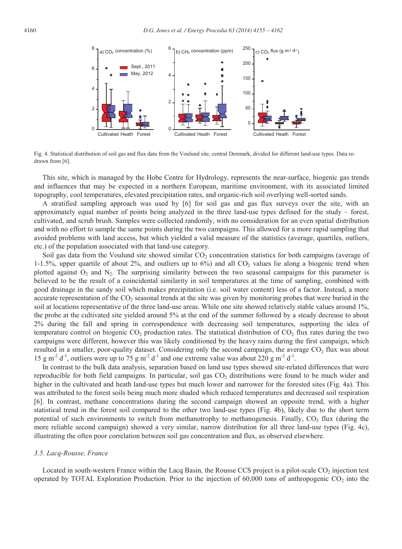

Fig. 4. Statistical distribution of soil gas and flux data from the Voulund site, central Denmark, divided for different land-use types. Data redrawn from [6].

This site, which is managed by the Hobe Centre for Hydrology, represents the near-surface, biogenic gas trends and influences that may be expected in a northern European, maritime environment, with its associated limited topography, cool temperatures, elevated precipitation rates, and organic-rich soil overlying well-sorted sands.

A stratified sampling approach was used by [6] for soil gas and gas flux surveys over the site, with an approximately equal number of points being analyzed in the three land-use types defined for the study – forest, cultivated, and scrub brush. Samples were collected randomly, with no consideration for an even spatial distribution and with no effort to sample the same points during the two campaigns. This allowed for a more rapid sampling that avoided problems with land access, but which yielded a valid measure of the statistics (average, quartiles, outliers, etc.) of the population associated with that land-use category.

Soil gas data from the Voulund site showed similar  $CO<sub>2</sub>$  concentration statistics for both campaigns (average of 1-1.5%, upper quartile of about 2%, and outliers up to  $6\%$ ) and all  $CO<sub>2</sub>$  values lie along a biogenic trend when plotted against  $O_2$  and  $N_2$ . The surprising similarity between the two seasonal campaigns for this parameter is believed to be the result of a coincidental similarity in soil temperatures at the time of sampling, combined with good drainage in the sandy soil which makes precipitation (i.e. soil water content) less of a factor. Instead, a more accurate representation of the  $CO<sub>2</sub>$  seasonal trends at the site was given by monitoring probes that were buried in the soil at locations representative of the three land-use areas. While one site showed relatively stable values around 1%, the probe at the cultivated site yielded around 5% at the end of the summer followed by a steady decrease to about 2% during the fall and spring in correspondence with decreasing soil temperatures, supporting the idea of temperature control on biogenic  $CO_2$  production rates. The statistical distribution of  $CO_2$  flux rates during the two campaigns were different, however this was likely conditioned by the heavy rains during the first campaign, which resulted in a smaller, poor-quality dataset. Considering only the second campaign, the average  $CO<sub>2</sub>$  flux was about 15 g m<sup>-2</sup> d<sup>-1</sup>, outliers were up to 75 g m<sup>-2</sup> d<sup>-1</sup> and one extreme value was about 220 g m<sup>-2</sup> d<sup>-1</sup>.

In contrast to the bulk data analysis, separation based on land use types showed site-related differences that were reproducible for both field campaigns. In particular, soil gas  $CO<sub>2</sub>$  distributions were found to be much wider and higher in the cultivated and heath land-use types but much lower and narrower for the forested sites (Fig. 4a). This was attributed to the forest soils being much more shaded which reduced temperatures and decreased soil respiration [6]. In contrast, methane concentrations during the second campaign showed an opposite trend, with a higher statistical trend in the forest soil compared to the other two land-use types (Fig. 4b), likely due to the short term potential of such environments to switch from methanotrophy to methanogenesis. Finally,  $CO<sub>2</sub>$  flux (during the more reliable second campaign) showed a very similar, narrow distribution for all three land-use types (Fig. 4c), illustrating the often poor correlation between soil gas concentration and flux, as observed elsewhere.

#### *3.5. Lacq-Rousse, France*

Located in south-western France within the Lacq Basin, the Rousse CCS project is a pilot-scale  $CO<sub>2</sub>$  injection test operated by TOTAL Exploration Production. Prior to the injection of  $60,000$  tons of anthropogenic  $CO<sub>2</sub>$  into the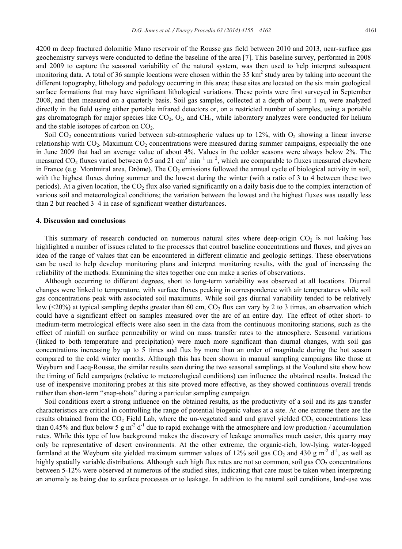4200 m deep fractured dolomitic Mano reservoir of the Rousse gas field between 2010 and 2013, near-surface gas geochemistry surveys were conducted to define the baseline of the area [7]. This baseline survey, performed in 2008 and 2009 to capture the seasonal variability of the natural system, was then used to help interpret subsequent monitoring data. A total of 36 sample locations were chosen within the 35 km<sup>2</sup> study area by taking into account the different topography, lithology and pedology occurring in this area; these sites are located on the six main geological surface formations that may have significant lithological variations. These points were first surveyed in September 2008, and then measured on a quarterly basis. Soil gas samples, collected at a depth of about 1 m, were analyzed directly in the field using either portable infrared detectors or, on a restricted number of samples, using a portable gas chromatograph for major species like  $CO<sub>2</sub>$ ,  $O<sub>2</sub>$ , and CH<sub>4</sub>, while laboratory analyzes were conducted for helium and the stable isotopes of carbon on  $CO<sub>2</sub>$ .

Soil  $CO<sub>2</sub>$  concentrations varied between sub-atmospheric values up to 12%, with  $O<sub>2</sub>$  showing a linear inverse relationship with  $CO<sub>2</sub>$ . Maximum  $CO<sub>2</sub>$  concentrations were measured during summer campaigns, especially the one in June 2009 that had an average value of about 4%. Values in the colder seasons were always below 2%. The measured CO<sub>2</sub> fluxes varied between 0.5 and 21 cm<sup>3</sup> min<sup>-1</sup> m<sup>-2</sup>, which are comparable to fluxes measured elsewhere in France (e.g. Montmiral area, Drôme). The  $CO<sub>2</sub>$  emissions followed the annual cycle of biological activity in soil, with the highest fluxes during summer and the lowest during the winter (with a ratio of 3 to 4 between these two periods). At a given location, the  $CO<sub>2</sub>$  flux also varied significantly on a daily basis due to the complex interaction of various soil and meteorological conditions; the variation between the lowest and the highest fluxes was usually less than 2 but reached 3–4 in case of significant weather disturbances.

#### **4. Discussion and conclusions**

This summary of research conducted on numerous natural sites where deep-origin  $CO<sub>2</sub>$  is not leaking has highlighted a number of issues related to the processes that control baseline concentrations and fluxes, and gives an idea of the range of values that can be encountered in different climatic and geologic settings. These observations can be used to help develop monitoring plans and interpret monitoring results, with the goal of increasing the reliability of the methods. Examining the sites together one can make a series of observations.

Although occurring to different degrees, short to long-term variability was observed at all locations. Diurnal changes were linked to temperature, with surface fluxes peaking in correspondence with air temperatures while soil gas concentrations peak with associated soil maximums. While soil gas diurnal variability tended to be relatively low (<20%) at typical sampling depths greater than 60 cm,  $CO_2$  flux can vary by 2 to 3 times, an observation which could have a significant effect on samples measured over the arc of an entire day. The effect of other short- to medium-term metrological effects were also seen in the data from the continuous monitoring stations, such as the effect of rainfall on surface permeability or wind on mass transfer rates to the atmosphere. Seasonal variations (linked to both temperature and precipitation) were much more significant than diurnal changes, with soil gas concentrations increasing by up to 5 times and flux by more than an order of magnitude during the hot season compared to the cold winter months. Although this has been shown in manual sampling campaigns like those at Weyburn and Lacq-Rousse, the similar results seen during the two seasonal samplings at the Voulund site show how the timing of field campaigns (relative to meteorological conditions) can influence the obtained results. Instead the use of inexpensive monitoring probes at this site proved more effective, as they showed continuous overall trends rather than short-term "snap-shots" during a particular sampling campaign.

Soil conditions exert a strong influence on the obtained results, as the productivity of a soil and its gas transfer characteristics are critical in controlling the range of potential biogenic values at a site. At one extreme there are the results obtained from the  $CO<sub>2</sub>$  Field Lab, where the un-vegetated sand and gravel yielded  $CO<sub>2</sub>$  concentrations less than 0.45% and flux below 5 g m<sup>-2</sup> d<sup>-1</sup> due to rapid exchange with the atmosphere and low production / accumulation rates. While this type of low background makes the discovery of leakage anomalies much easier, this quarry may only be representative of desert environments. At the other extreme, the organic-rich, low-lying, water-logged farmland at the Weyburn site yielded maximum summer values of 12% soil gas  $CO_2$  and 430 g m<sup>-2</sup> d<sup>-1</sup>, as well as highly spatially variable distributions. Although such high flux rates are not so common, soil gas  $CO<sub>2</sub>$  concentrations between 5-12% were observed at numerous of the studied sites, indicating that care must be taken when interpreting an anomaly as being due to surface processes or to leakage. In addition to the natural soil conditions, land-use was